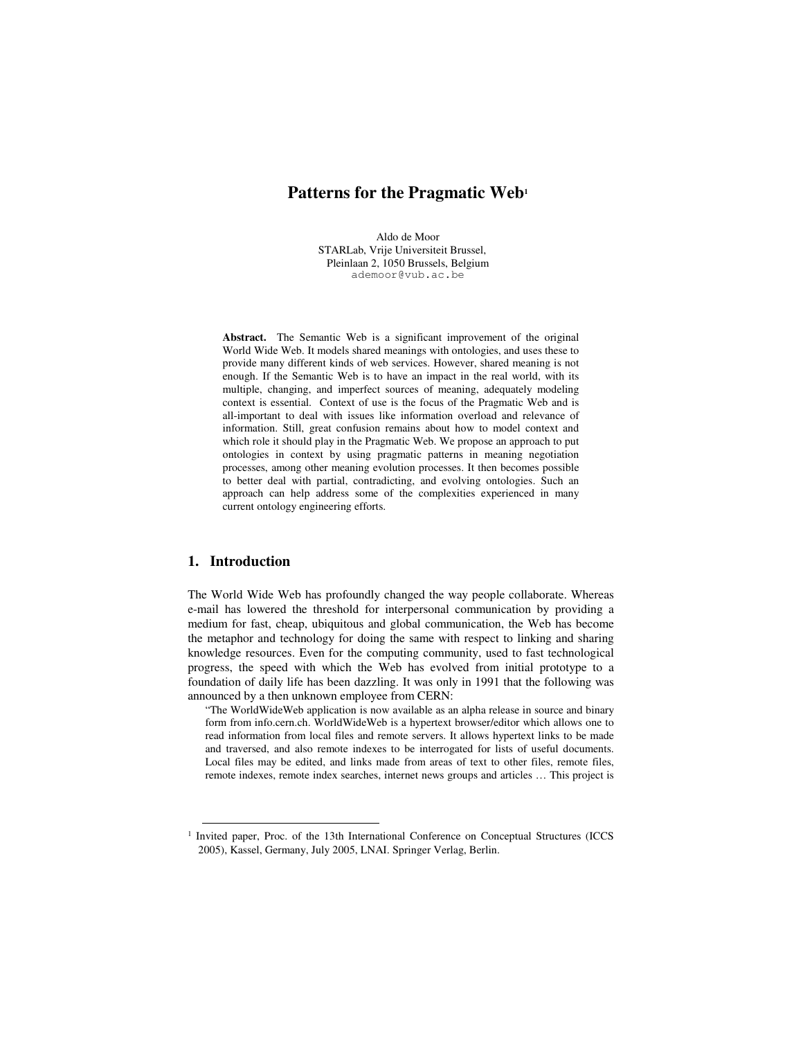# **Patterns for the Pragmatic Web<sup>1</sup>**

Aldo de Moor STARLab, Vrije Universiteit Brussel, Pleinlaan 2, 1050 Brussels, Belgium ademoor@vub.ac.be

**Abstract.** The Semantic Web is a significant improvement of the original World Wide Web. It models shared meanings with ontologies, and uses these to provide many different kinds of web services. However, shared meaning is not enough. If the Semantic Web is to have an impact in the real world, with its multiple, changing, and imperfect sources of meaning, adequately modeling context is essential. Context of use is the focus of the Pragmatic Web and is all-important to deal with issues like information overload and relevance of information. Still, great confusion remains about how to model context and which role it should play in the Pragmatic Web. We propose an approach to put ontologies in context by using pragmatic patterns in meaning negotiation processes, among other meaning evolution processes. It then becomes possible to better deal with partial, contradicting, and evolving ontologies. Such an approach can help address some of the complexities experienced in many current ontology engineering efforts.

# **1. Introduction**

<u>.</u>

The World Wide Web has profoundly changed the way people collaborate. Whereas e-mail has lowered the threshold for interpersonal communication by providing a medium for fast, cheap, ubiquitous and global communication, the Web has become the metaphor and technology for doing the same with respect to linking and sharing knowledge resources. Even for the computing community, used to fast technological progress, the speed with which the Web has evolved from initial prototype to a foundation of daily life has been dazzling. It was only in 1991 that the following was announced by a then unknown employee from CERN:

"The WorldWideWeb application is now available as an alpha release in source and binary form from info.cern.ch. WorldWideWeb is a hypertext browser/editor which allows one to read information from local files and remote servers. It allows hypertext links to be made and traversed, and also remote indexes to be interrogated for lists of useful documents. Local files may be edited, and links made from areas of text to other files, remote files, remote indexes, remote index searches, internet news groups and articles … This project is

<sup>&</sup>lt;sup>1</sup> Invited paper, Proc. of the 13th International Conference on Conceptual Structures (ICCS 2005), Kassel, Germany, July 2005, LNAI. Springer Verlag, Berlin.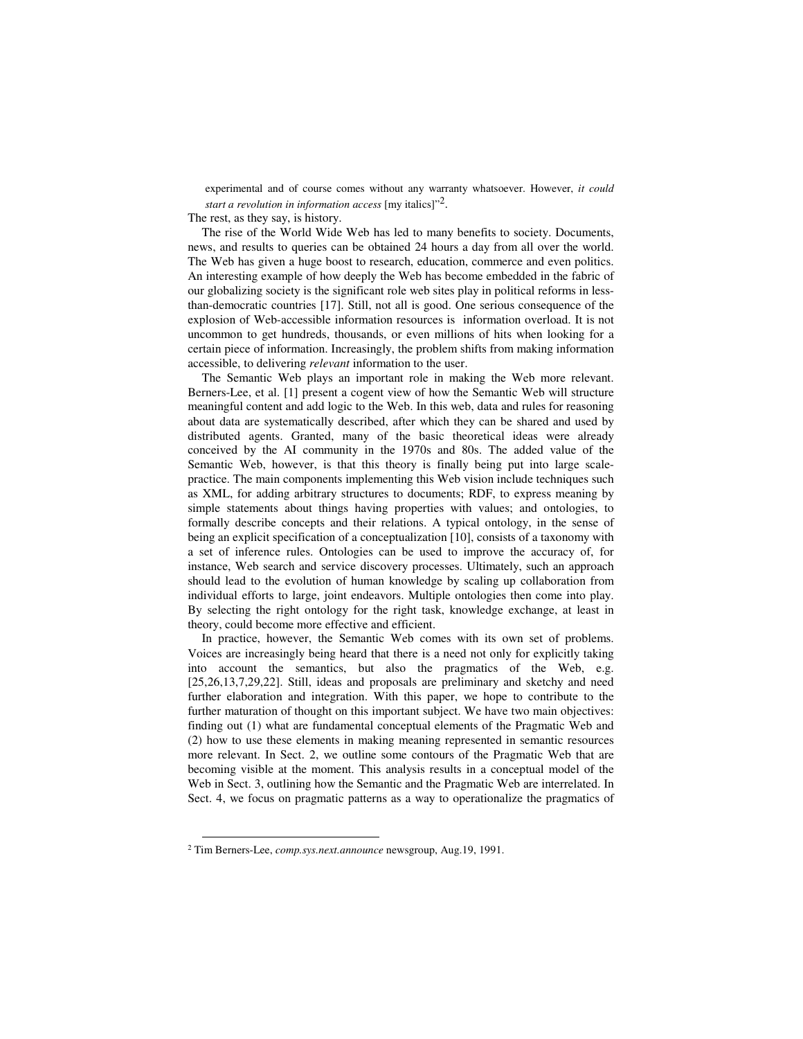experimental and of course comes without any warranty whatsoever. However, *it could start a revolution in information access* [my italics]"2 .

The rest, as they say, is history.

The rise of the World Wide Web has led to many benefits to society. Documents, news, and results to queries can be obtained 24 hours a day from all over the world. The Web has given a huge boost to research, education, commerce and even politics. An interesting example of how deeply the Web has become embedded in the fabric of our globalizing society is the significant role web sites play in political reforms in lessthan-democratic countries [17]. Still, not all is good. One serious consequence of the explosion of Web-accessible information resources is information overload. It is not uncommon to get hundreds, thousands, or even millions of hits when looking for a certain piece of information. Increasingly, the problem shifts from making information accessible, to delivering *relevant* information to the user.

The Semantic Web plays an important role in making the Web more relevant. Berners-Lee, et al. [1] present a cogent view of how the Semantic Web will structure meaningful content and add logic to the Web. In this web, data and rules for reasoning about data are systematically described, after which they can be shared and used by distributed agents. Granted, many of the basic theoretical ideas were already conceived by the AI community in the 1970s and 80s. The added value of the Semantic Web, however, is that this theory is finally being put into large scalepractice. The main components implementing this Web vision include techniques such as XML, for adding arbitrary structures to documents; RDF, to express meaning by simple statements about things having properties with values; and ontologies, to formally describe concepts and their relations. A typical ontology, in the sense of being an explicit specification of a conceptualization [10], consists of a taxonomy with a set of inference rules. Ontologies can be used to improve the accuracy of, for instance, Web search and service discovery processes. Ultimately, such an approach should lead to the evolution of human knowledge by scaling up collaboration from individual efforts to large, joint endeavors. Multiple ontologies then come into play. By selecting the right ontology for the right task, knowledge exchange, at least in theory, could become more effective and efficient.

In practice, however, the Semantic Web comes with its own set of problems. Voices are increasingly being heard that there is a need not only for explicitly taking into account the semantics, but also the pragmatics of the Web, e.g. [25,26,13,7,29,22]. Still, ideas and proposals are preliminary and sketchy and need further elaboration and integration. With this paper, we hope to contribute to the further maturation of thought on this important subject. We have two main objectives: finding out (1) what are fundamental conceptual elements of the Pragmatic Web and (2) how to use these elements in making meaning represented in semantic resources more relevant. In Sect. 2, we outline some contours of the Pragmatic Web that are becoming visible at the moment. This analysis results in a conceptual model of the Web in Sect. 3, outlining how the Semantic and the Pragmatic Web are interrelated. In Sect. 4, we focus on pragmatic patterns as a way to operationalize the pragmatics of

<sup>2</sup> Tim Berners-Lee, *comp.sys.next.announce* newsgroup, Aug.19, 1991.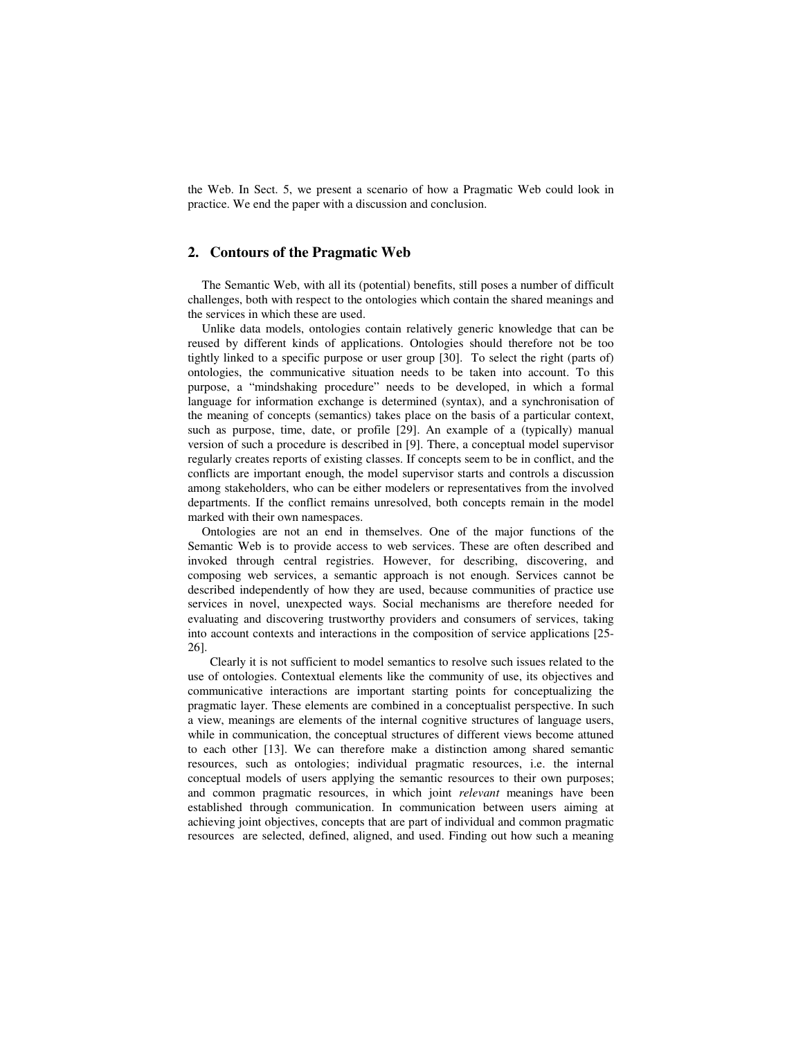the Web. In Sect. 5, we present a scenario of how a Pragmatic Web could look in practice. We end the paper with a discussion and conclusion.

# **2. Contours of the Pragmatic Web**

The Semantic Web, with all its (potential) benefits, still poses a number of difficult challenges, both with respect to the ontologies which contain the shared meanings and the services in which these are used.

Unlike data models, ontologies contain relatively generic knowledge that can be reused by different kinds of applications. Ontologies should therefore not be too tightly linked to a specific purpose or user group [30]. To select the right (parts of) ontologies, the communicative situation needs to be taken into account. To this purpose, a "mindshaking procedure" needs to be developed, in which a formal language for information exchange is determined (syntax), and a synchronisation of the meaning of concepts (semantics) takes place on the basis of a particular context, such as purpose, time, date, or profile [29]. An example of a (typically) manual version of such a procedure is described in [9]. There, a conceptual model supervisor regularly creates reports of existing classes. If concepts seem to be in conflict, and the conflicts are important enough, the model supervisor starts and controls a discussion among stakeholders, who can be either modelers or representatives from the involved departments. If the conflict remains unresolved, both concepts remain in the model marked with their own namespaces.

Ontologies are not an end in themselves. One of the major functions of the Semantic Web is to provide access to web services. These are often described and invoked through central registries. However, for describing, discovering, and composing web services, a semantic approach is not enough. Services cannot be described independently of how they are used, because communities of practice use services in novel, unexpected ways. Social mechanisms are therefore needed for evaluating and discovering trustworthy providers and consumers of services, taking into account contexts and interactions in the composition of service applications [25- 26].

Clearly it is not sufficient to model semantics to resolve such issues related to the use of ontologies. Contextual elements like the community of use, its objectives and communicative interactions are important starting points for conceptualizing the pragmatic layer. These elements are combined in a conceptualist perspective. In such a view, meanings are elements of the internal cognitive structures of language users, while in communication, the conceptual structures of different views become attuned to each other [13]. We can therefore make a distinction among shared semantic resources, such as ontologies; individual pragmatic resources, i.e. the internal conceptual models of users applying the semantic resources to their own purposes; and common pragmatic resources, in which joint *relevant* meanings have been established through communication. In communication between users aiming at achieving joint objectives, concepts that are part of individual and common pragmatic resources are selected, defined, aligned, and used. Finding out how such a meaning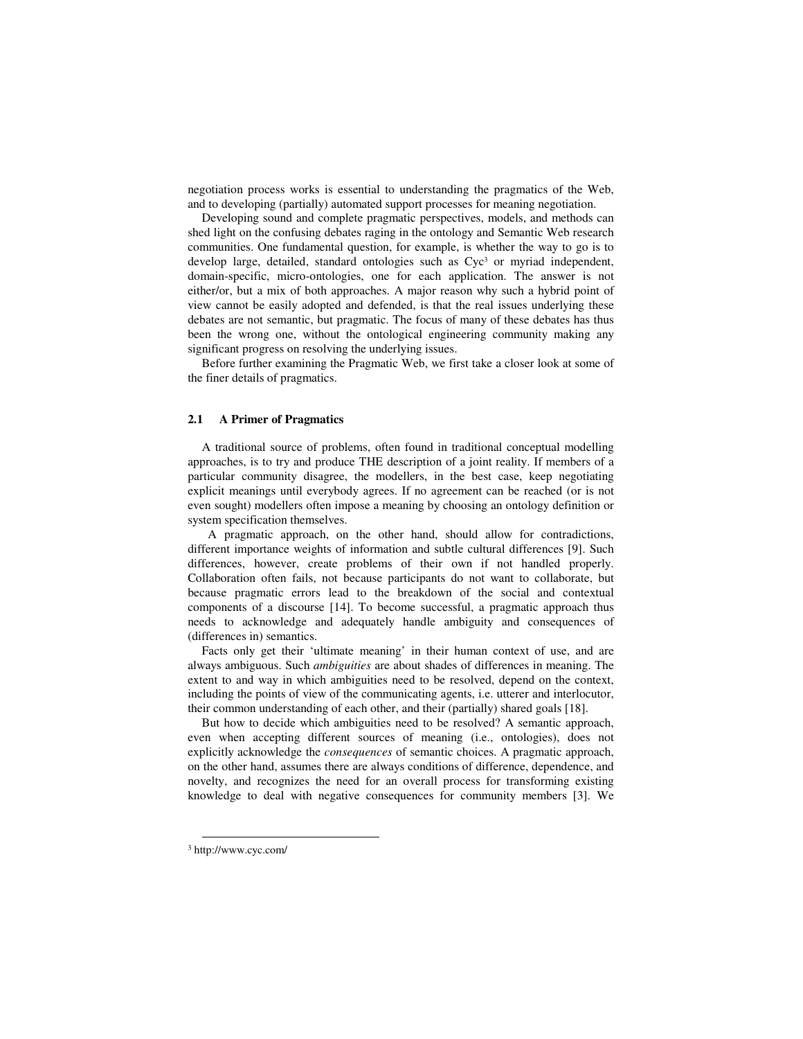negotiation process works is essential to understanding the pragmatics of the Web, and to developing (partially) automated support processes for meaning negotiation.

Developing sound and complete pragmatic perspectives, models, and methods can shed light on the confusing debates raging in the ontology and Semantic Web research communities. One fundamental question, for example, is whether the way to go is to develop large, detailed, standard ontologies such as Cyc<sup>3</sup> or myriad independent, domain-specific, micro-ontologies, one for each application. The answer is not either/or, but a mix of both approaches. A major reason why such a hybrid point of view cannot be easily adopted and defended, is that the real issues underlying these debates are not semantic, but pragmatic. The focus of many of these debates has thus been the wrong one, without the ontological engineering community making any significant progress on resolving the underlying issues.

Before further examining the Pragmatic Web, we first take a closer look at some of the finer details of pragmatics.

#### **2.1 A Primer of Pragmatics**

A traditional source of problems, often found in traditional conceptual modelling approaches, is to try and produce THE description of a joint reality. If members of a particular community disagree, the modellers, in the best case, keep negotiating explicit meanings until everybody agrees. If no agreement can be reached (or is not even sought) modellers often impose a meaning by choosing an ontology definition or system specification themselves.

 A pragmatic approach, on the other hand, should allow for contradictions, different importance weights of information and subtle cultural differences [9]. Such differences, however, create problems of their own if not handled properly. Collaboration often fails, not because participants do not want to collaborate, but because pragmatic errors lead to the breakdown of the social and contextual components of a discourse [14]. To become successful, a pragmatic approach thus needs to acknowledge and adequately handle ambiguity and consequences of (differences in) semantics.

Facts only get their 'ultimate meaning' in their human context of use, and are always ambiguous. Such *ambiguities* are about shades of differences in meaning. The extent to and way in which ambiguities need to be resolved, depend on the context, including the points of view of the communicating agents, i.e. utterer and interlocutor, their common understanding of each other, and their (partially) shared goals [18].

But how to decide which ambiguities need to be resolved? A semantic approach, even when accepting different sources of meaning (i.e., ontologies), does not explicitly acknowledge the *consequences* of semantic choices. A pragmatic approach, on the other hand, assumes there are always conditions of difference, dependence, and novelty, and recognizes the need for an overall process for transforming existing knowledge to deal with negative consequences for community members [3]. We

<sup>3</sup> http://www.cyc.com/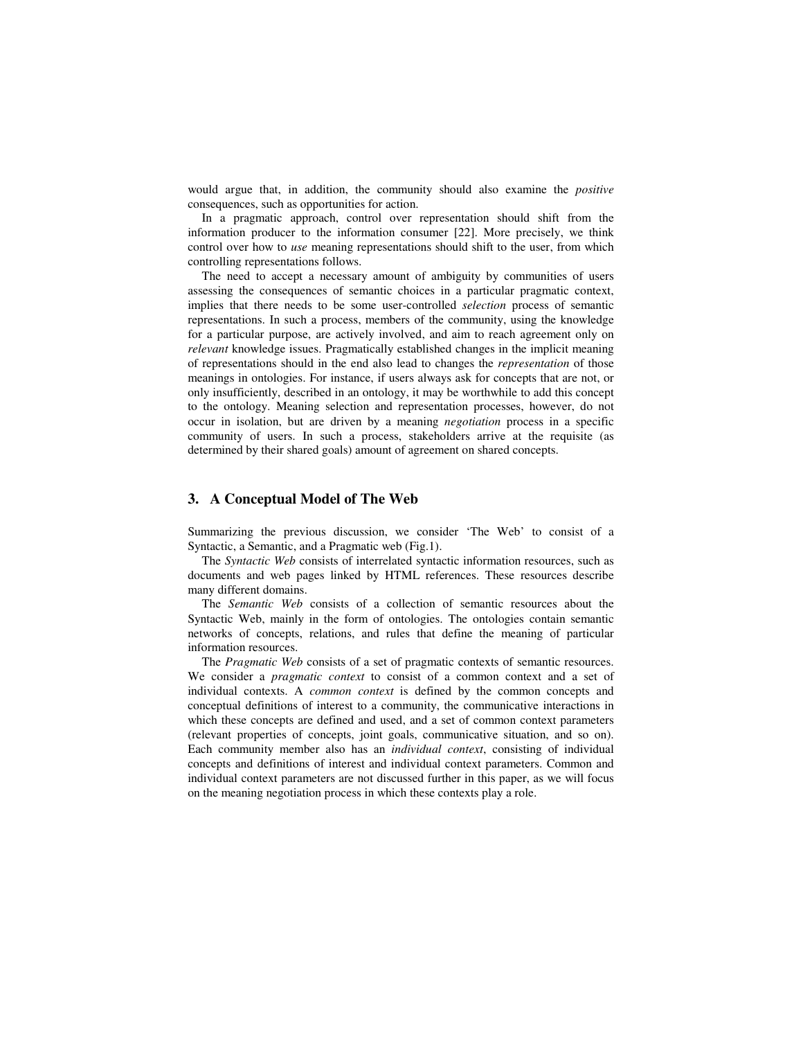would argue that, in addition, the community should also examine the *positive* consequences, such as opportunities for action.

In a pragmatic approach, control over representation should shift from the information producer to the information consumer [22]. More precisely, we think control over how to *use* meaning representations should shift to the user, from which controlling representations follows.

The need to accept a necessary amount of ambiguity by communities of users assessing the consequences of semantic choices in a particular pragmatic context, implies that there needs to be some user-controlled *selection* process of semantic representations. In such a process, members of the community, using the knowledge for a particular purpose, are actively involved, and aim to reach agreement only on *relevant* knowledge issues. Pragmatically established changes in the implicit meaning of representations should in the end also lead to changes the *representation* of those meanings in ontologies. For instance, if users always ask for concepts that are not, or only insufficiently, described in an ontology, it may be worthwhile to add this concept to the ontology. Meaning selection and representation processes, however, do not occur in isolation, but are driven by a meaning *negotiation* process in a specific community of users. In such a process, stakeholders arrive at the requisite (as determined by their shared goals) amount of agreement on shared concepts.

# **3. A Conceptual Model of The Web**

Summarizing the previous discussion, we consider 'The Web' to consist of a Syntactic, a Semantic, and a Pragmatic web (Fig.1).

The *Syntactic Web* consists of interrelated syntactic information resources, such as documents and web pages linked by HTML references. These resources describe many different domains.

The *Semantic Web* consists of a collection of semantic resources about the Syntactic Web, mainly in the form of ontologies. The ontologies contain semantic networks of concepts, relations, and rules that define the meaning of particular information resources.

The *Pragmatic Web* consists of a set of pragmatic contexts of semantic resources. We consider a *pragmatic context* to consist of a common context and a set of individual contexts. A *common context* is defined by the common concepts and conceptual definitions of interest to a community, the communicative interactions in which these concepts are defined and used, and a set of common context parameters (relevant properties of concepts, joint goals, communicative situation, and so on). Each community member also has an *individual context*, consisting of individual concepts and definitions of interest and individual context parameters. Common and individual context parameters are not discussed further in this paper, as we will focus on the meaning negotiation process in which these contexts play a role.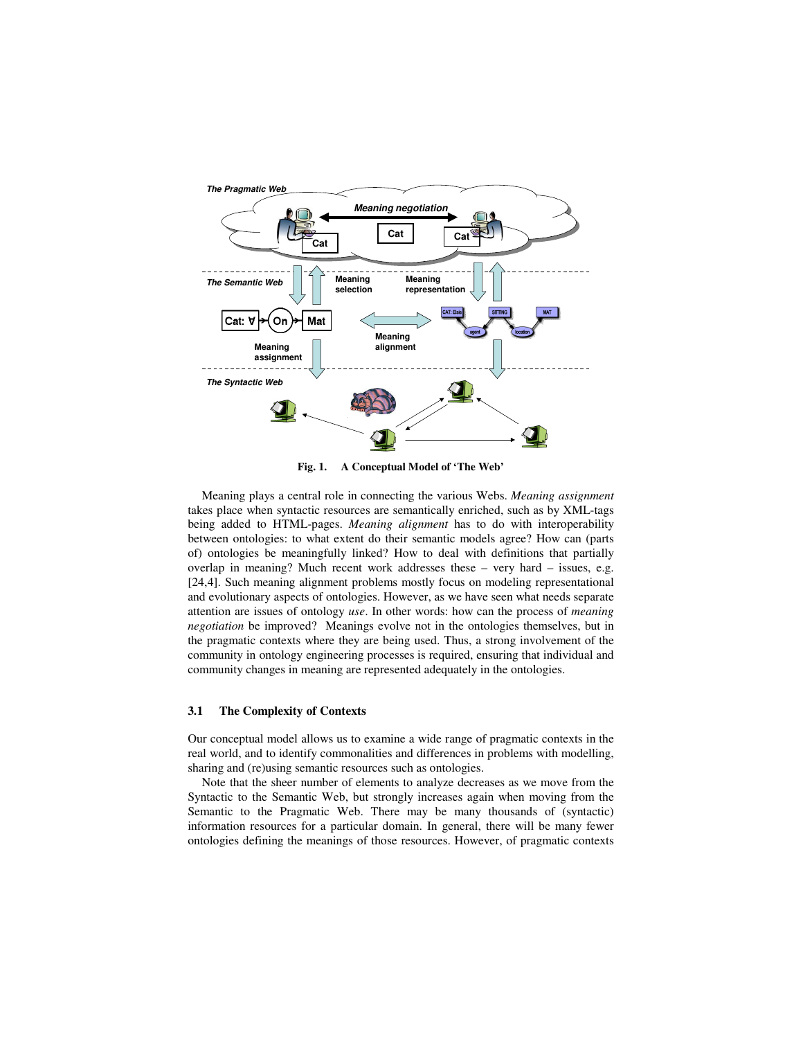

**Fig. 1. A Conceptual Model of 'The Web'** 

Meaning plays a central role in connecting the various Webs. *Meaning assignment* takes place when syntactic resources are semantically enriched, such as by XML-tags being added to HTML-pages. *Meaning alignment* has to do with interoperability between ontologies: to what extent do their semantic models agree? How can (parts of) ontologies be meaningfully linked? How to deal with definitions that partially overlap in meaning? Much recent work addresses these – very hard – issues, e.g. [24,4]. Such meaning alignment problems mostly focus on modeling representational and evolutionary aspects of ontologies. However, as we have seen what needs separate attention are issues of ontology *use*. In other words: how can the process of *meaning negotiation* be improved? Meanings evolve not in the ontologies themselves, but in the pragmatic contexts where they are being used. Thus, a strong involvement of the community in ontology engineering processes is required, ensuring that individual and community changes in meaning are represented adequately in the ontologies.

### **3.1 The Complexity of Contexts**

Our conceptual model allows us to examine a wide range of pragmatic contexts in the real world, and to identify commonalities and differences in problems with modelling, sharing and (re)using semantic resources such as ontologies.

Note that the sheer number of elements to analyze decreases as we move from the Syntactic to the Semantic Web, but strongly increases again when moving from the Semantic to the Pragmatic Web. There may be many thousands of (syntactic) information resources for a particular domain. In general, there will be many fewer ontologies defining the meanings of those resources. However, of pragmatic contexts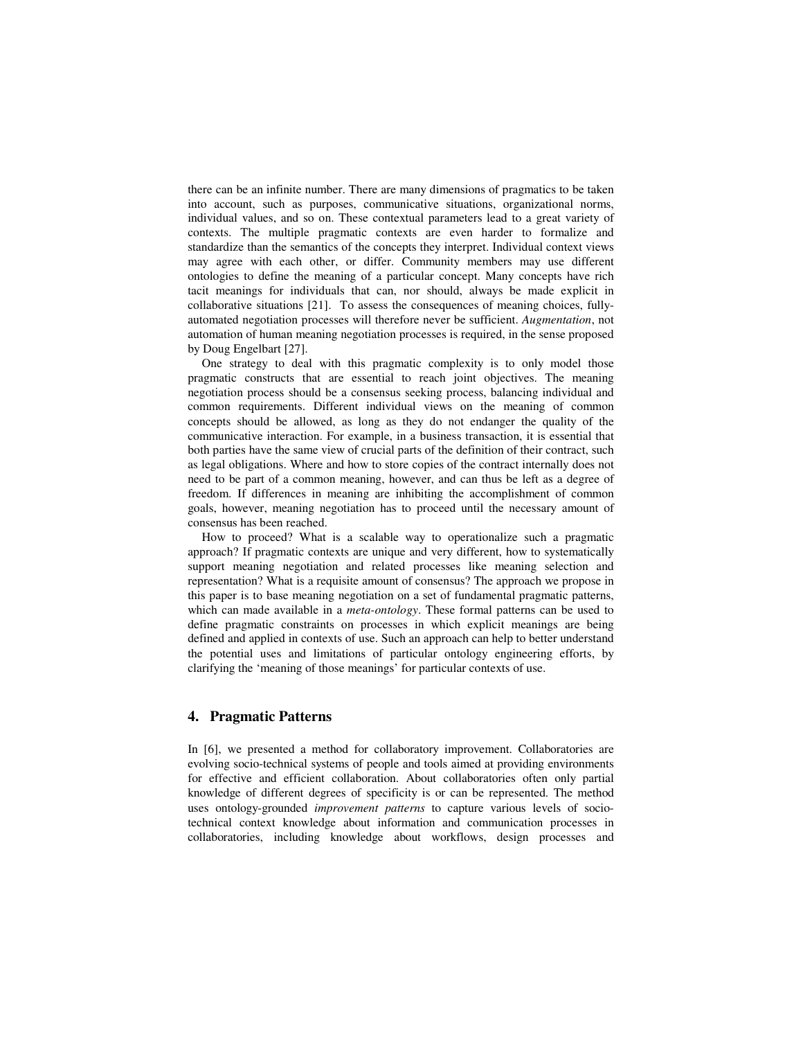there can be an infinite number. There are many dimensions of pragmatics to be taken into account, such as purposes, communicative situations, organizational norms, individual values, and so on. These contextual parameters lead to a great variety of contexts. The multiple pragmatic contexts are even harder to formalize and standardize than the semantics of the concepts they interpret. Individual context views may agree with each other, or differ. Community members may use different ontologies to define the meaning of a particular concept. Many concepts have rich tacit meanings for individuals that can, nor should, always be made explicit in collaborative situations [21]. To assess the consequences of meaning choices, fullyautomated negotiation processes will therefore never be sufficient. *Augmentation*, not automation of human meaning negotiation processes is required, in the sense proposed by Doug Engelbart [27].

One strategy to deal with this pragmatic complexity is to only model those pragmatic constructs that are essential to reach joint objectives. The meaning negotiation process should be a consensus seeking process, balancing individual and common requirements. Different individual views on the meaning of common concepts should be allowed, as long as they do not endanger the quality of the communicative interaction. For example, in a business transaction, it is essential that both parties have the same view of crucial parts of the definition of their contract, such as legal obligations. Where and how to store copies of the contract internally does not need to be part of a common meaning, however, and can thus be left as a degree of freedom. If differences in meaning are inhibiting the accomplishment of common goals, however, meaning negotiation has to proceed until the necessary amount of consensus has been reached.

How to proceed? What is a scalable way to operationalize such a pragmatic approach? If pragmatic contexts are unique and very different, how to systematically support meaning negotiation and related processes like meaning selection and representation? What is a requisite amount of consensus? The approach we propose in this paper is to base meaning negotiation on a set of fundamental pragmatic patterns, which can made available in a *meta-ontology*. These formal patterns can be used to define pragmatic constraints on processes in which explicit meanings are being defined and applied in contexts of use. Such an approach can help to better understand the potential uses and limitations of particular ontology engineering efforts, by clarifying the 'meaning of those meanings' for particular contexts of use.

## **4. Pragmatic Patterns**

In [6], we presented a method for collaboratory improvement. Collaboratories are evolving socio-technical systems of people and tools aimed at providing environments for effective and efficient collaboration. About collaboratories often only partial knowledge of different degrees of specificity is or can be represented. The method uses ontology-grounded *improvement patterns* to capture various levels of sociotechnical context knowledge about information and communication processes in collaboratories, including knowledge about workflows, design processes and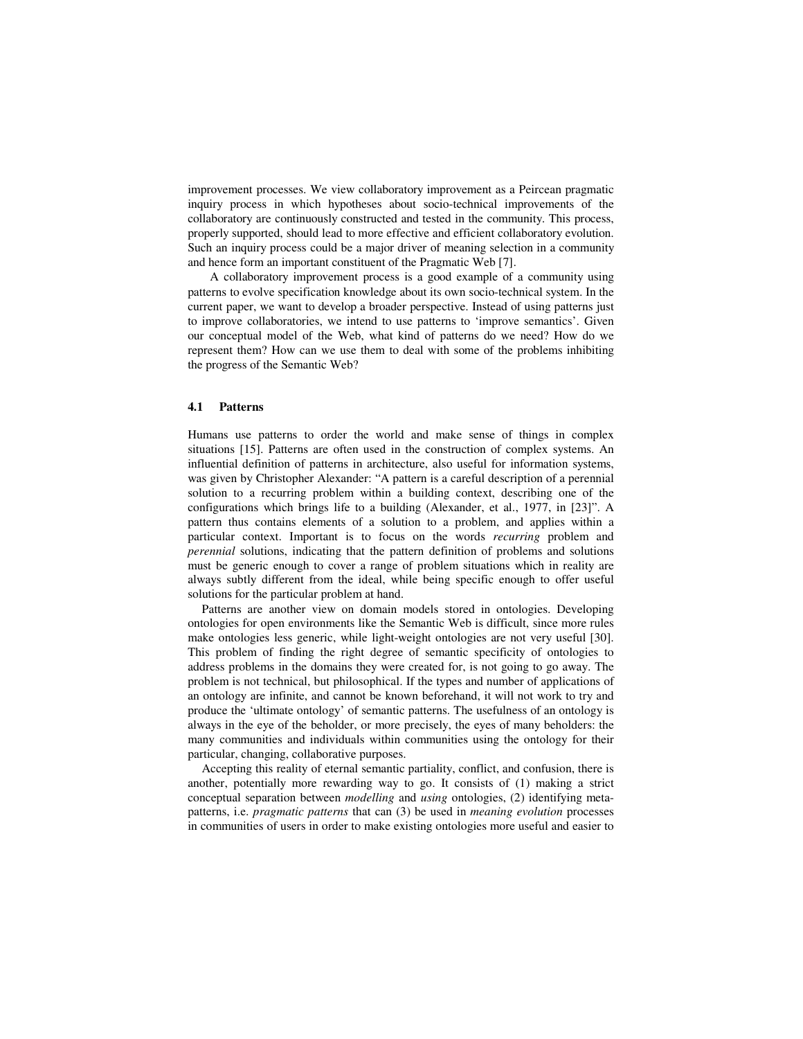improvement processes. We view collaboratory improvement as a Peircean pragmatic inquiry process in which hypotheses about socio-technical improvements of the collaboratory are continuously constructed and tested in the community. This process, properly supported, should lead to more effective and efficient collaboratory evolution. Such an inquiry process could be a major driver of meaning selection in a community and hence form an important constituent of the Pragmatic Web [7].

A collaboratory improvement process is a good example of a community using patterns to evolve specification knowledge about its own socio-technical system. In the current paper, we want to develop a broader perspective. Instead of using patterns just to improve collaboratories, we intend to use patterns to 'improve semantics'. Given our conceptual model of the Web, what kind of patterns do we need? How do we represent them? How can we use them to deal with some of the problems inhibiting the progress of the Semantic Web?

### **4.1 Patterns**

Humans use patterns to order the world and make sense of things in complex situations [15]. Patterns are often used in the construction of complex systems. An influential definition of patterns in architecture, also useful for information systems, was given by Christopher Alexander: "A pattern is a careful description of a perennial solution to a recurring problem within a building context, describing one of the configurations which brings life to a building (Alexander, et al., 1977, in [23]". A pattern thus contains elements of a solution to a problem, and applies within a particular context. Important is to focus on the words *recurring* problem and *perennial* solutions, indicating that the pattern definition of problems and solutions must be generic enough to cover a range of problem situations which in reality are always subtly different from the ideal, while being specific enough to offer useful solutions for the particular problem at hand.

Patterns are another view on domain models stored in ontologies. Developing ontologies for open environments like the Semantic Web is difficult, since more rules make ontologies less generic, while light-weight ontologies are not very useful [30]. This problem of finding the right degree of semantic specificity of ontologies to address problems in the domains they were created for, is not going to go away. The problem is not technical, but philosophical. If the types and number of applications of an ontology are infinite, and cannot be known beforehand, it will not work to try and produce the 'ultimate ontology' of semantic patterns. The usefulness of an ontology is always in the eye of the beholder, or more precisely, the eyes of many beholders: the many communities and individuals within communities using the ontology for their particular, changing, collaborative purposes.

Accepting this reality of eternal semantic partiality, conflict, and confusion, there is another, potentially more rewarding way to go. It consists of (1) making a strict conceptual separation between *modelling* and *using* ontologies, (2) identifying metapatterns, i.e. *pragmatic patterns* that can (3) be used in *meaning evolution* processes in communities of users in order to make existing ontologies more useful and easier to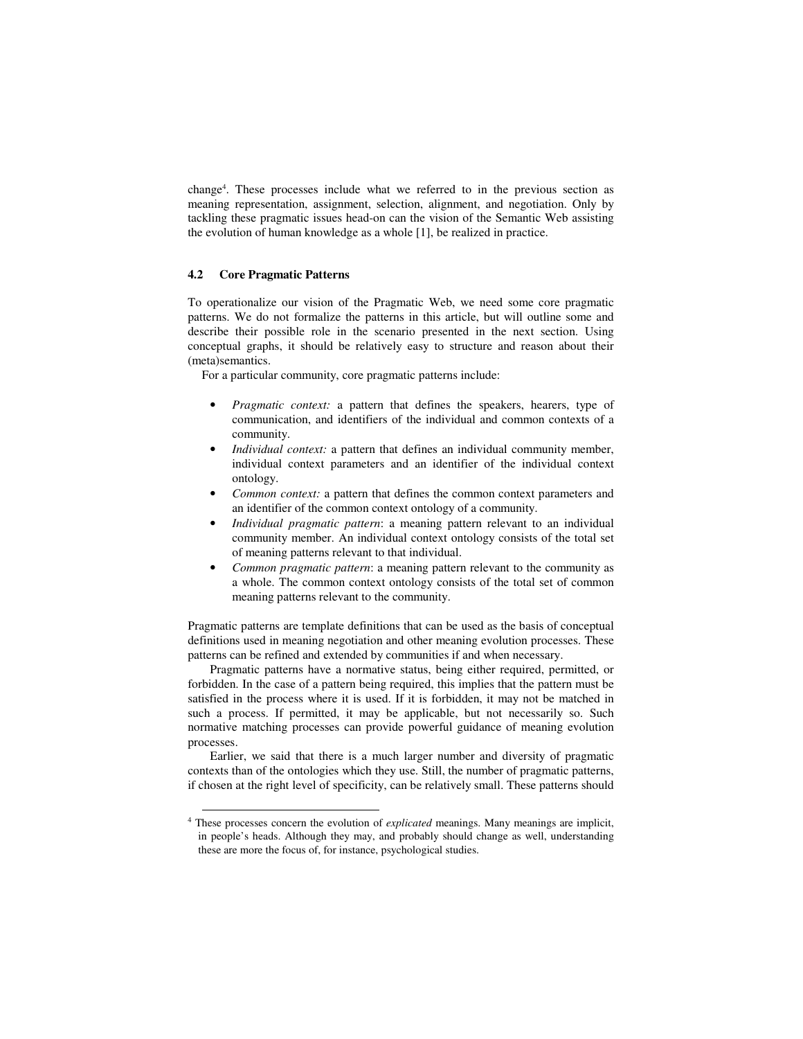change<sup>4</sup> . These processes include what we referred to in the previous section as meaning representation, assignment, selection, alignment, and negotiation. Only by tackling these pragmatic issues head-on can the vision of the Semantic Web assisting the evolution of human knowledge as a whole [1], be realized in practice.

#### **4.2 Core Pragmatic Patterns**

<u>.</u>

To operationalize our vision of the Pragmatic Web, we need some core pragmatic patterns. We do not formalize the patterns in this article, but will outline some and describe their possible role in the scenario presented in the next section. Using conceptual graphs, it should be relatively easy to structure and reason about their (meta)semantics.

For a particular community, core pragmatic patterns include:

- *Pragmatic context:* a pattern that defines the speakers, hearers, type of communication, and identifiers of the individual and common contexts of a community.
- *Individual context:* a pattern that defines an individual community member, individual context parameters and an identifier of the individual context ontology.
- *Common context:* a pattern that defines the common context parameters and an identifier of the common context ontology of a community.
- *Individual pragmatic pattern*: a meaning pattern relevant to an individual community member. An individual context ontology consists of the total set of meaning patterns relevant to that individual.
- *Common pragmatic pattern*: a meaning pattern relevant to the community as a whole. The common context ontology consists of the total set of common meaning patterns relevant to the community.

Pragmatic patterns are template definitions that can be used as the basis of conceptual definitions used in meaning negotiation and other meaning evolution processes. These patterns can be refined and extended by communities if and when necessary.

Pragmatic patterns have a normative status, being either required, permitted, or forbidden. In the case of a pattern being required, this implies that the pattern must be satisfied in the process where it is used. If it is forbidden, it may not be matched in such a process. If permitted, it may be applicable, but not necessarily so. Such normative matching processes can provide powerful guidance of meaning evolution processes.

Earlier, we said that there is a much larger number and diversity of pragmatic contexts than of the ontologies which they use. Still, the number of pragmatic patterns, if chosen at the right level of specificity, can be relatively small. These patterns should

<sup>4</sup> These processes concern the evolution of *explicated* meanings. Many meanings are implicit, in people's heads. Although they may, and probably should change as well, understanding these are more the focus of, for instance, psychological studies.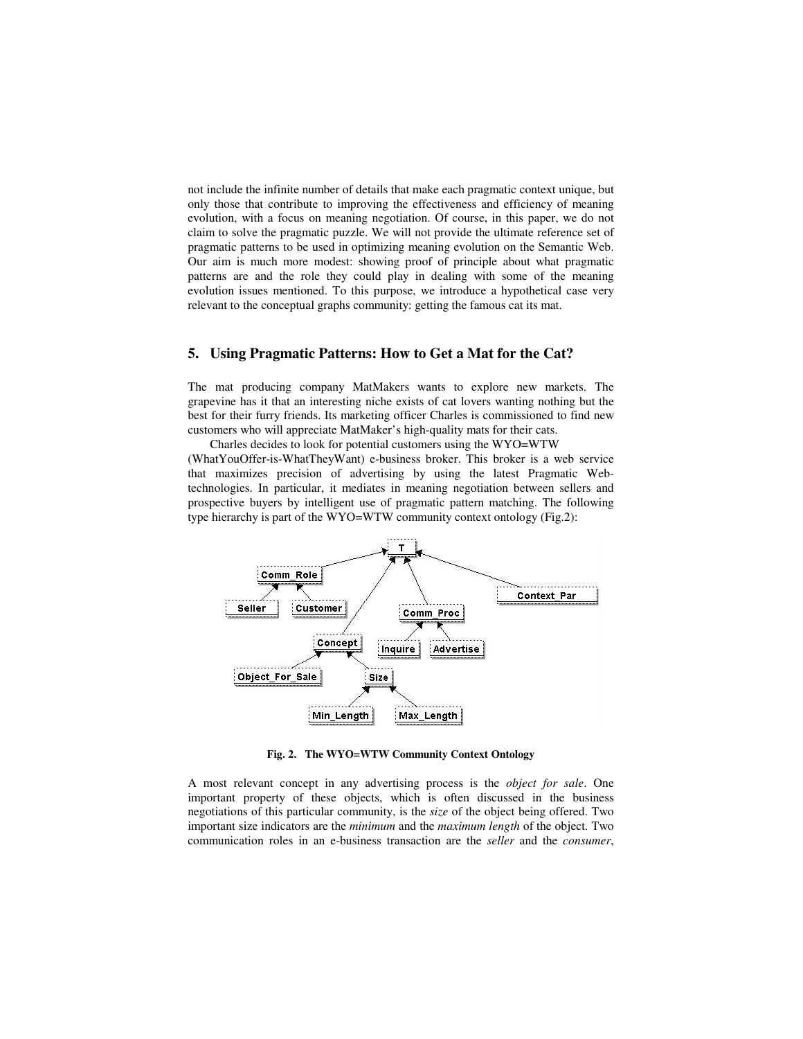not include the infinite number of details that make each pragmatic context unique, but only those that contribute to improving the effectiveness and efficiency of meaning evolution, with a focus on meaning negotiation. Of course, in this paper, we do not claim to solve the pragmatic puzzle. We will not provide the ultimate reference set of pragmatic patterns to be used in optimizing meaning evolution on the Semantic Web. Our aim is much more modest: showing proof of principle about what pragmatic patterns are and the role they could play in dealing with some of the meaning evolution issues mentioned. To this purpose, we introduce a hypothetical case very relevant to the conceptual graphs community: getting the famous cat its mat.

## **5. Using Pragmatic Patterns: How to Get a Mat for the Cat?**

The mat producing company MatMakers wants to explore new markets. The grapevine has it that an interesting niche exists of cat lovers wanting nothing but the best for their furry friends. Its marketing officer Charles is commissioned to find new customers who will appreciate MatMaker's high-quality mats for their cats.

Charles decides to look for potential customers using the WYO=WTW (WhatYouOffer-is-WhatTheyWant) e-business broker. This broker is a web service that maximizes precision of advertising by using the latest Pragmatic Webtechnologies. In particular, it mediates in meaning negotiation between sellers and prospective buyers by intelligent use of pragmatic pattern matching. The following type hierarchy is part of the WYO=WTW community context ontology (Fig.2):



**Fig. 2. The WYO=WTW Community Context Ontology** 

A most relevant concept in any advertising process is the *object for sale*. One important property of these objects, which is often discussed in the business negotiations of this particular community, is the *size* of the object being offered. Two important size indicators are the *minimum* and the *maximum length* of the object. Two communication roles in an e-business transaction are the *seller* and the *consumer*,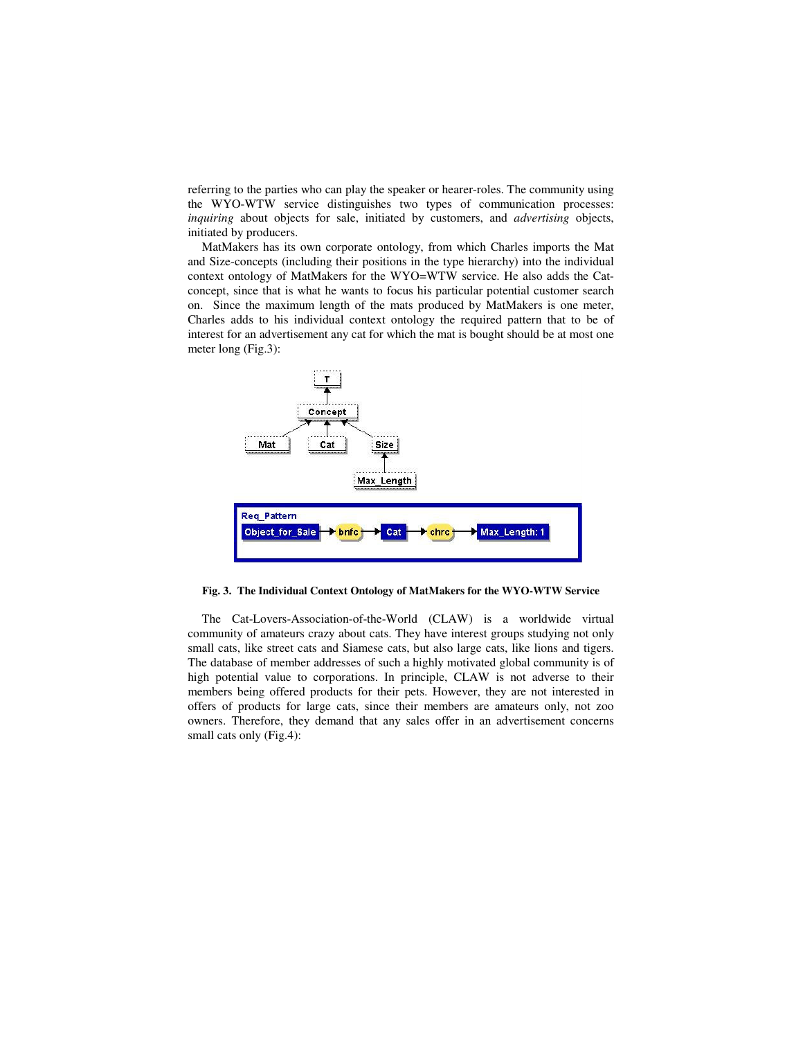referring to the parties who can play the speaker or hearer-roles. The community using the WYO-WTW service distinguishes two types of communication processes: *inquiring* about objects for sale, initiated by customers, and *advertising* objects, initiated by producers.

MatMakers has its own corporate ontology, from which Charles imports the Mat and Size-concepts (including their positions in the type hierarchy) into the individual context ontology of MatMakers for the WYO=WTW service. He also adds the Catconcept, since that is what he wants to focus his particular potential customer search on. Since the maximum length of the mats produced by MatMakers is one meter, Charles adds to his individual context ontology the required pattern that to be of interest for an advertisement any cat for which the mat is bought should be at most one meter long (Fig.3):



**Fig. 3. The Individual Context Ontology of MatMakers for the WYO-WTW Service** 

The Cat-Lovers-Association-of-the-World (CLAW) is a worldwide virtual community of amateurs crazy about cats. They have interest groups studying not only small cats, like street cats and Siamese cats, but also large cats, like lions and tigers. The database of member addresses of such a highly motivated global community is of high potential value to corporations. In principle, CLAW is not adverse to their members being offered products for their pets. However, they are not interested in offers of products for large cats, since their members are amateurs only, not zoo owners. Therefore, they demand that any sales offer in an advertisement concerns small cats only (Fig.4):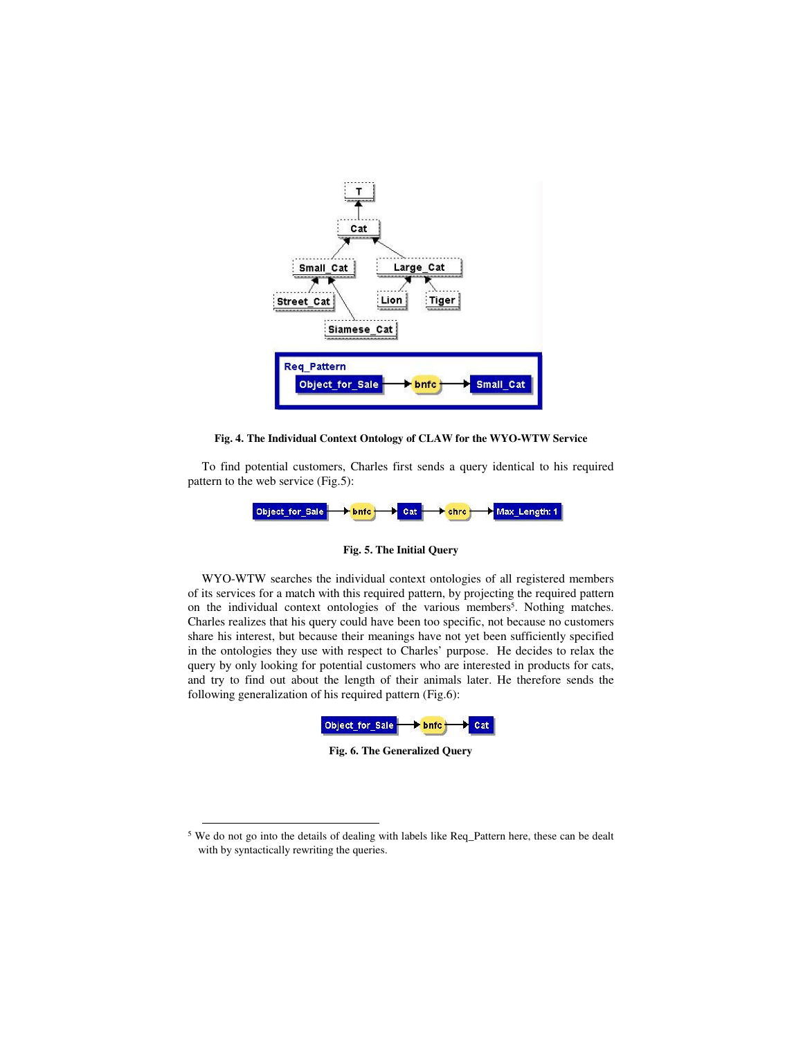

**Fig. 4. The Individual Context Ontology of CLAW for the WYO-WTW Service** 

To find potential customers, Charles first sends a query identical to his required pattern to the web service (Fig.5):



#### **Fig. 5. The Initial Query**

WYO-WTW searches the individual context ontologies of all registered members of its services for a match with this required pattern, by projecting the required pattern on the individual context ontologies of the various members<sup>5</sup>. Nothing matches. Charles realizes that his query could have been too specific, not because no customers share his interest, but because their meanings have not yet been sufficiently specified in the ontologies they use with respect to Charles' purpose. He decides to relax the query by only looking for potential customers who are interested in products for cats, and try to find out about the length of their animals later. He therefore sends the following generalization of his required pattern (Fig.6):



**Fig. 6. The Generalized Query** 

 $5$  We do not go into the details of dealing with labels like Req Pattern here, these can be dealt with by syntactically rewriting the queries.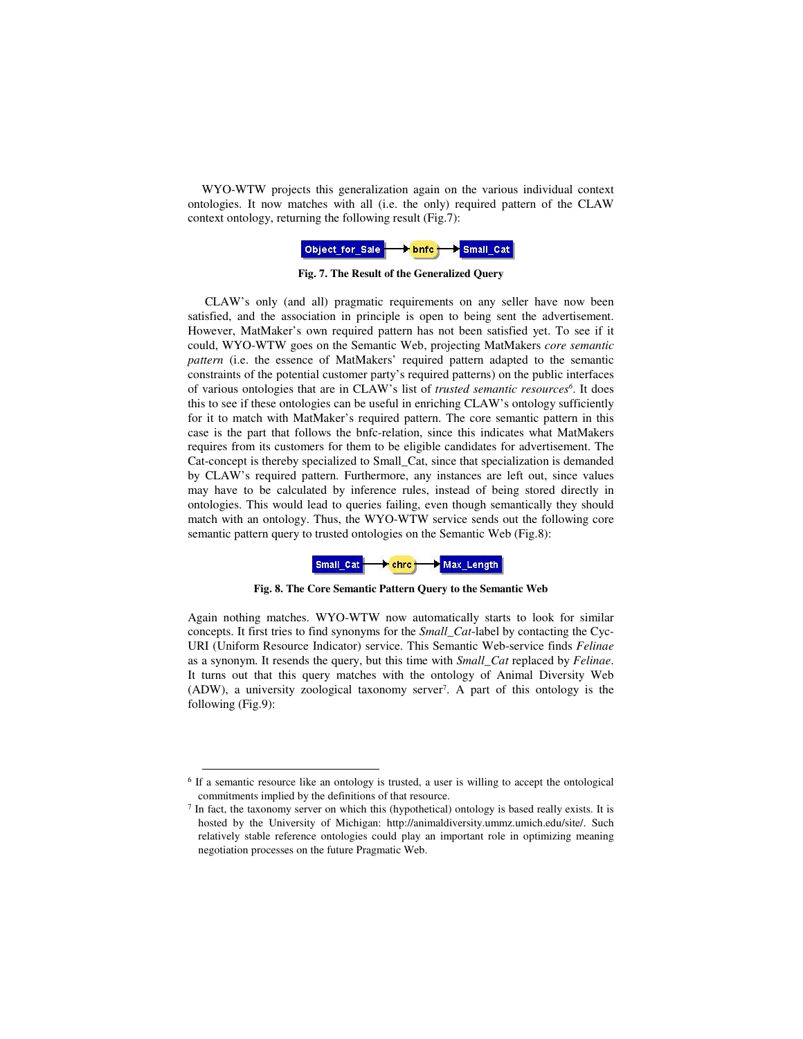WYO-WTW projects this generalization again on the various individual context ontologies. It now matches with all (i.e. the only) required pattern of the CLAW context ontology, returning the following result (Fig.7):



**Fig. 7. The Result of the Generalized Query** 

 CLAW's only (and all) pragmatic requirements on any seller have now been satisfied, and the association in principle is open to being sent the advertisement. However, MatMaker's own required pattern has not been satisfied yet. To see if it could, WYO-WTW goes on the Semantic Web, projecting MatMakers *core semantic pattern* (i.e. the essence of MatMakers' required pattern adapted to the semantic constraints of the potential customer party's required patterns) on the public interfaces of various ontologies that are in CLAW's list of *trusted semantic resources<sup>6</sup>* . It does this to see if these ontologies can be useful in enriching CLAW's ontology sufficiently for it to match with MatMaker's required pattern. The core semantic pattern in this case is the part that follows the bnfc-relation, since this indicates what MatMakers requires from its customers for them to be eligible candidates for advertisement. The Cat-concept is thereby specialized to Small\_Cat, since that specialization is demanded by CLAW's required pattern. Furthermore, any instances are left out, since values may have to be calculated by inference rules, instead of being stored directly in ontologies. This would lead to queries failing, even though semantically they should match with an ontology. Thus, the WYO-WTW service sends out the following core semantic pattern query to trusted ontologies on the Semantic Web (Fig.8):



**Fig. 8. The Core Semantic Pattern Query to the Semantic Web** 

Again nothing matches. WYO-WTW now automatically starts to look for similar concepts. It first tries to find synonyms for the *Small\_Cat*-label by contacting the Cyc-URI (Uniform Resource Indicator) service. This Semantic Web-service finds *Felinae*  as a synonym. It resends the query, but this time with *Small\_Cat* replaced by *Felinae*. It turns out that this query matches with the ontology of Animal Diversity Web (ADW), a university zoological taxonomy server<sup>7</sup> . A part of this ontology is the following (Fig.9):

1

<sup>6</sup> If a semantic resource like an ontology is trusted, a user is willing to accept the ontological commitments implied by the definitions of that resource.

<sup>&</sup>lt;sup>7</sup> In fact, the taxonomy server on which this (hypothetical) ontology is based really exists. It is hosted by the University of Michigan: http://animaldiversity.ummz.umich.edu/site/. Such relatively stable reference ontologies could play an important role in optimizing meaning negotiation processes on the future Pragmatic Web.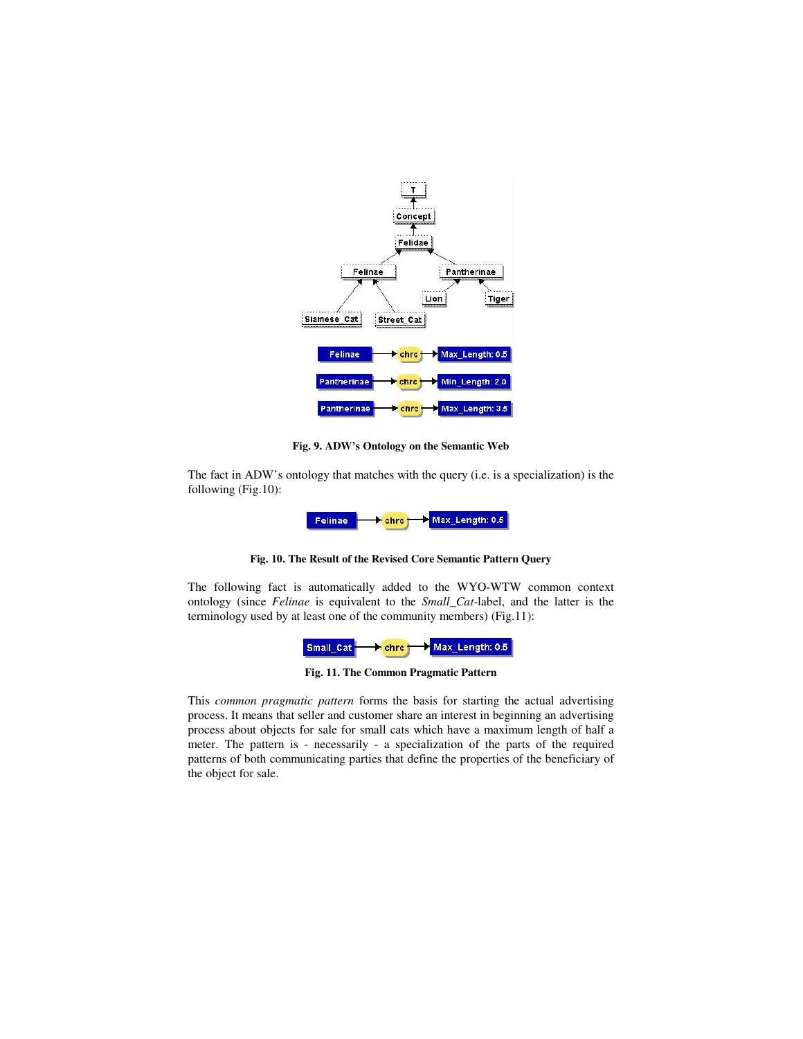

**Fig. 9. ADW's Ontology on the Semantic Web** 

The fact in ADW's ontology that matches with the query (i.e. is a specialization) is the following (Fig.10):



**Fig. 10. The Result of the Revised Core Semantic Pattern Query** 

The following fact is automatically added to the WYO-WTW common context ontology (since *Felinae* is equivalent to the *Small\_Cat*-label, and the latter is the terminology used by at least one of the community members) (Fig.11):



**Fig. 11. The Common Pragmatic Pattern** 

This *common pragmatic pattern* forms the basis for starting the actual advertising process. It means that seller and customer share an interest in beginning an advertising process about objects for sale for small cats which have a maximum length of half a meter. The pattern is - necessarily - a specialization of the parts of the required patterns of both communicating parties that define the properties of the beneficiary of the object for sale.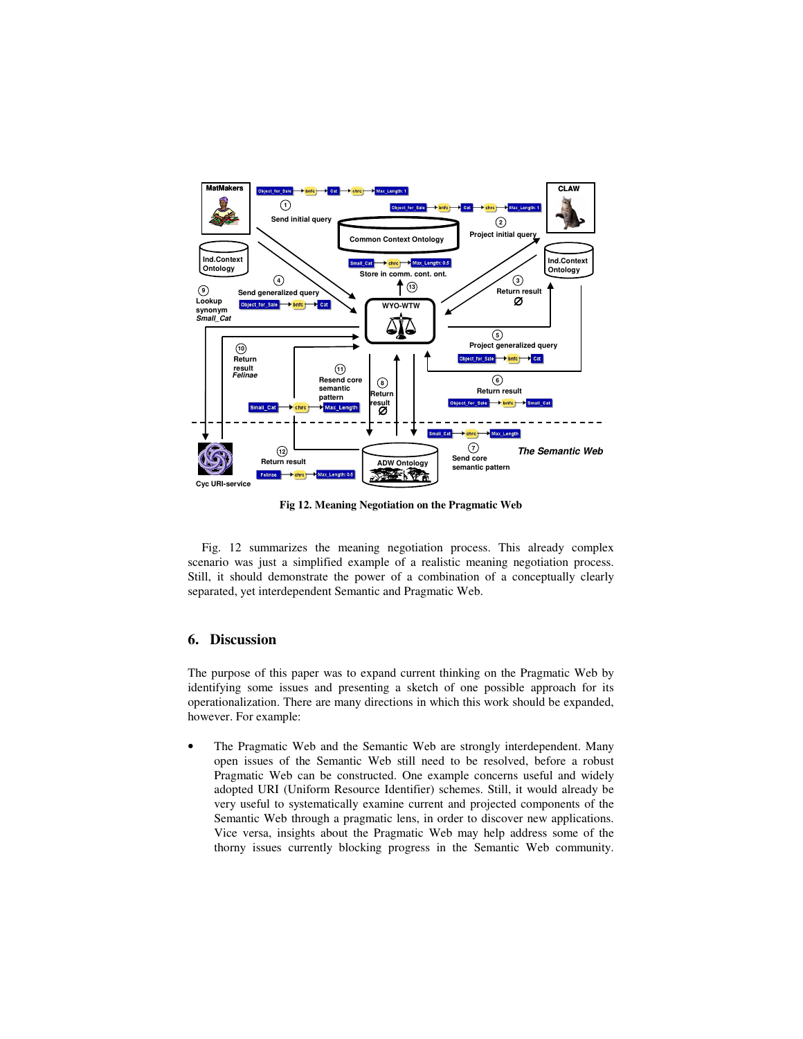

**Fig 12. Meaning Negotiation on the Pragmatic Web** 

Fig. 12 summarizes the meaning negotiation process. This already complex scenario was just a simplified example of a realistic meaning negotiation process. Still, it should demonstrate the power of a combination of a conceptually clearly separated, yet interdependent Semantic and Pragmatic Web.

## **6. Discussion**

The purpose of this paper was to expand current thinking on the Pragmatic Web by identifying some issues and presenting a sketch of one possible approach for its operationalization. There are many directions in which this work should be expanded, however. For example:

• The Pragmatic Web and the Semantic Web are strongly interdependent. Many open issues of the Semantic Web still need to be resolved, before a robust Pragmatic Web can be constructed. One example concerns useful and widely adopted URI (Uniform Resource Identifier) schemes. Still, it would already be very useful to systematically examine current and projected components of the Semantic Web through a pragmatic lens, in order to discover new applications. Vice versa, insights about the Pragmatic Web may help address some of the thorny issues currently blocking progress in the Semantic Web community.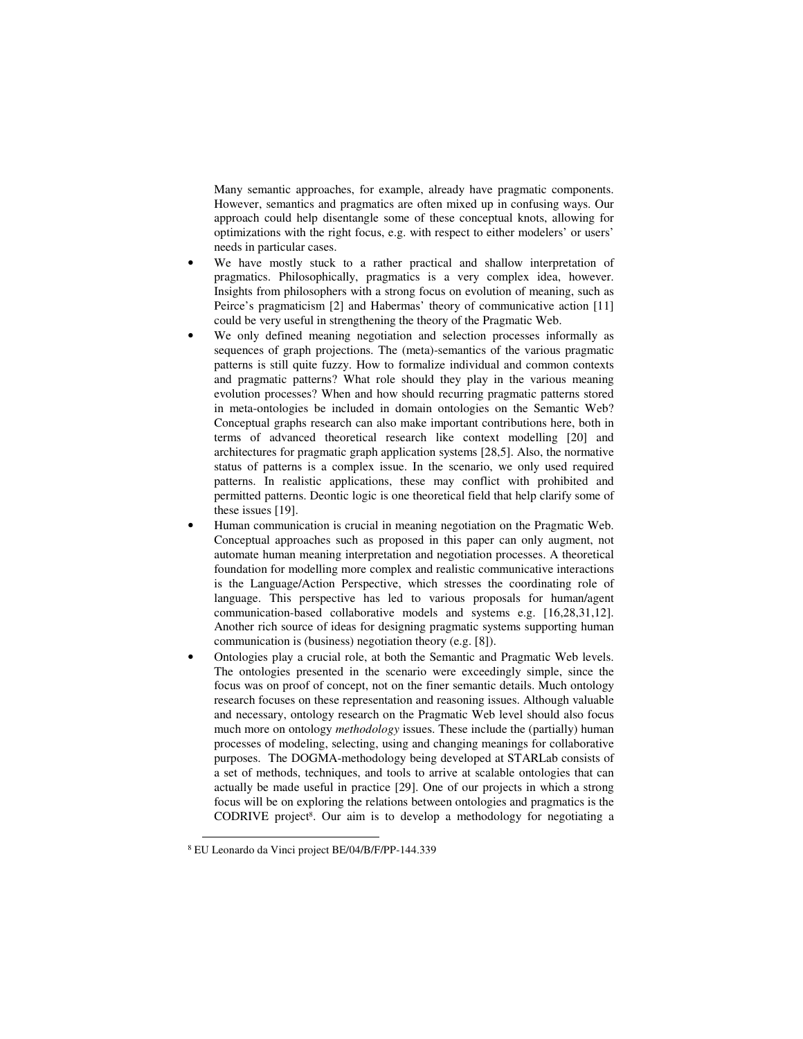Many semantic approaches, for example, already have pragmatic components. However, semantics and pragmatics are often mixed up in confusing ways. Our approach could help disentangle some of these conceptual knots, allowing for optimizations with the right focus, e.g. with respect to either modelers' or users' needs in particular cases.

- We have mostly stuck to a rather practical and shallow interpretation of pragmatics. Philosophically, pragmatics is a very complex idea, however. Insights from philosophers with a strong focus on evolution of meaning, such as Peirce's pragmaticism [2] and Habermas' theory of communicative action [11] could be very useful in strengthening the theory of the Pragmatic Web.
- We only defined meaning negotiation and selection processes informally as sequences of graph projections. The (meta)-semantics of the various pragmatic patterns is still quite fuzzy. How to formalize individual and common contexts and pragmatic patterns? What role should they play in the various meaning evolution processes? When and how should recurring pragmatic patterns stored in meta-ontologies be included in domain ontologies on the Semantic Web? Conceptual graphs research can also make important contributions here, both in terms of advanced theoretical research like context modelling [20] and architectures for pragmatic graph application systems [28,5]. Also, the normative status of patterns is a complex issue. In the scenario, we only used required patterns. In realistic applications, these may conflict with prohibited and permitted patterns. Deontic logic is one theoretical field that help clarify some of these issues [19].
- Human communication is crucial in meaning negotiation on the Pragmatic Web. Conceptual approaches such as proposed in this paper can only augment, not automate human meaning interpretation and negotiation processes. A theoretical foundation for modelling more complex and realistic communicative interactions is the Language/Action Perspective, which stresses the coordinating role of language. This perspective has led to various proposals for human/agent communication-based collaborative models and systems e.g. [16,28,31,12]. Another rich source of ideas for designing pragmatic systems supporting human communication is (business) negotiation theory (e.g. [8]).
- Ontologies play a crucial role, at both the Semantic and Pragmatic Web levels. The ontologies presented in the scenario were exceedingly simple, since the focus was on proof of concept, not on the finer semantic details. Much ontology research focuses on these representation and reasoning issues. Although valuable and necessary, ontology research on the Pragmatic Web level should also focus much more on ontology *methodology* issues. These include the (partially) human processes of modeling, selecting, using and changing meanings for collaborative purposes. The DOGMA-methodology being developed at STARLab consists of a set of methods, techniques, and tools to arrive at scalable ontologies that can actually be made useful in practice [29]. One of our projects in which a strong focus will be on exploring the relations between ontologies and pragmatics is the CODRIVE project<sup>8</sup>. Our aim is to develop a methodology for negotiating a

<sup>8</sup> EU Leonardo da Vinci project BE/04/B/F/PP-144.339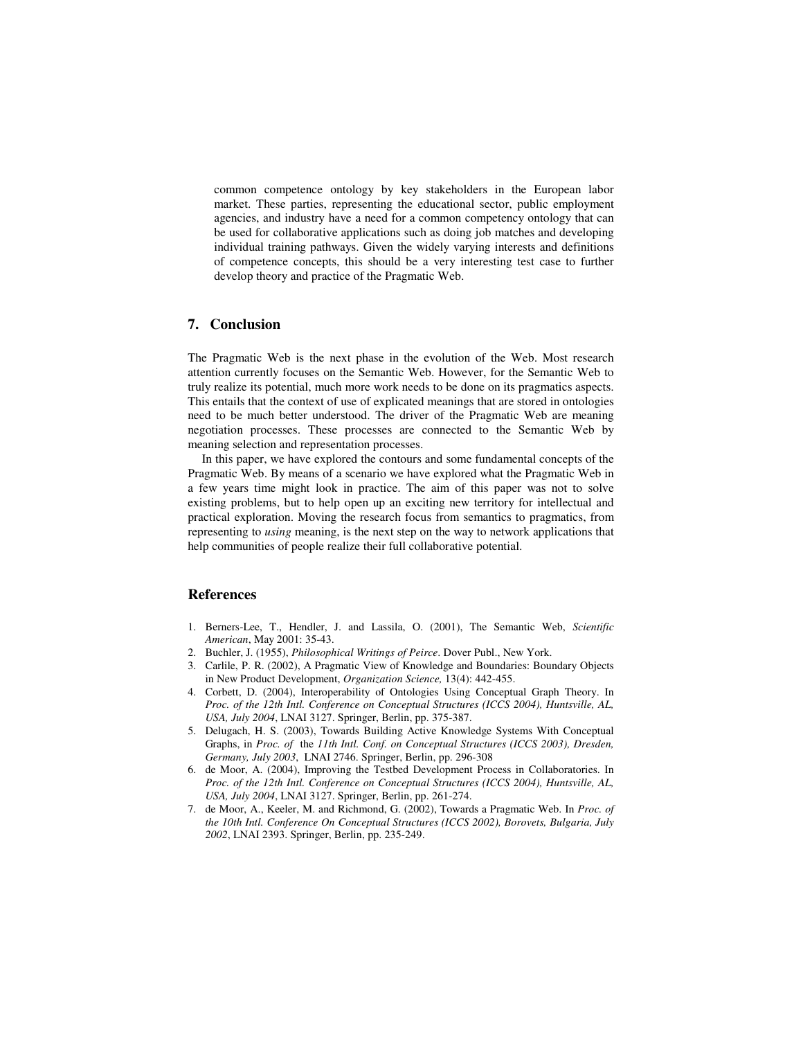common competence ontology by key stakeholders in the European labor market. These parties, representing the educational sector, public employment agencies, and industry have a need for a common competency ontology that can be used for collaborative applications such as doing job matches and developing individual training pathways. Given the widely varying interests and definitions of competence concepts, this should be a very interesting test case to further develop theory and practice of the Pragmatic Web.

## **7. Conclusion**

The Pragmatic Web is the next phase in the evolution of the Web. Most research attention currently focuses on the Semantic Web. However, for the Semantic Web to truly realize its potential, much more work needs to be done on its pragmatics aspects. This entails that the context of use of explicated meanings that are stored in ontologies need to be much better understood. The driver of the Pragmatic Web are meaning negotiation processes. These processes are connected to the Semantic Web by meaning selection and representation processes.

In this paper, we have explored the contours and some fundamental concepts of the Pragmatic Web. By means of a scenario we have explored what the Pragmatic Web in a few years time might look in practice. The aim of this paper was not to solve existing problems, but to help open up an exciting new territory for intellectual and practical exploration. Moving the research focus from semantics to pragmatics, from representing to *using* meaning, is the next step on the way to network applications that help communities of people realize their full collaborative potential.

## **References**

- 1. Berners-Lee, T., Hendler, J. and Lassila, O. (2001), The Semantic Web, *Scientific American*, May 2001: 35-43.
- 2. Buchler, J. (1955), *Philosophical Writings of Peirce*. Dover Publ., New York.
- 3. Carlile, P. R. (2002), A Pragmatic View of Knowledge and Boundaries: Boundary Objects in New Product Development, *Organization Science,* 13(4): 442-455.
- 4. Corbett, D. (2004), Interoperability of Ontologies Using Conceptual Graph Theory. In *Proc. of the 12th Intl. Conference on Conceptual Structures (ICCS 2004), Huntsville, AL, USA, July 2004*, LNAI 3127. Springer, Berlin, pp. 375-387.
- 5. Delugach, H. S. (2003), Towards Building Active Knowledge Systems With Conceptual Graphs, in *Proc. of* the *11th Intl. Conf. on Conceptual Structures (ICCS 2003), Dresden, Germany, July 2003*, LNAI 2746. Springer, Berlin, pp. 296-308
- 6. de Moor, A. (2004), Improving the Testbed Development Process in Collaboratories. In *Proc. of the 12th Intl. Conference on Conceptual Structures (ICCS 2004), Huntsville, AL, USA, July 2004*, LNAI 3127. Springer, Berlin, pp. 261-274.
- 7. de Moor, A., Keeler, M. and Richmond, G. (2002), Towards a Pragmatic Web. In *Proc. of the 10th Intl. Conference On Conceptual Structures (ICCS 2002), Borovets, Bulgaria, July 2002*, LNAI 2393. Springer, Berlin, pp. 235-249.